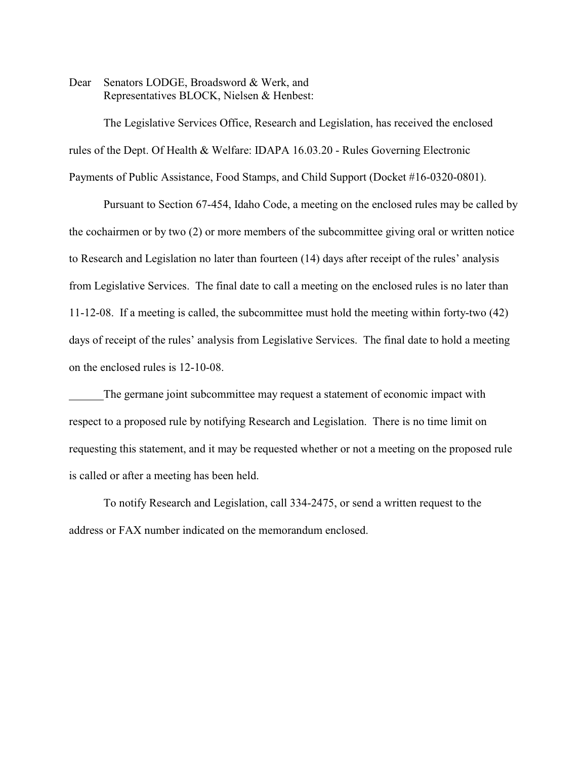Dear Senators LODGE, Broadsword & Werk, and Representatives BLOCK, Nielsen & Henbest:

The Legislative Services Office, Research and Legislation, has received the enclosed rules of the Dept. Of Health & Welfare: IDAPA 16.03.20 - Rules Governing Electronic Payments of Public Assistance, Food Stamps, and Child Support (Docket #16-0320-0801).

Pursuant to Section 67-454, Idaho Code, a meeting on the enclosed rules may be called by the cochairmen or by two (2) or more members of the subcommittee giving oral or written notice to Research and Legislation no later than fourteen (14) days after receipt of the rules' analysis from Legislative Services. The final date to call a meeting on the enclosed rules is no later than 11-12-08. If a meeting is called, the subcommittee must hold the meeting within forty-two (42) days of receipt of the rules' analysis from Legislative Services. The final date to hold a meeting on the enclosed rules is 12-10-08.

The germane joint subcommittee may request a statement of economic impact with respect to a proposed rule by notifying Research and Legislation. There is no time limit on requesting this statement, and it may be requested whether or not a meeting on the proposed rule is called or after a meeting has been held.

To notify Research and Legislation, call 334-2475, or send a written request to the address or FAX number indicated on the memorandum enclosed.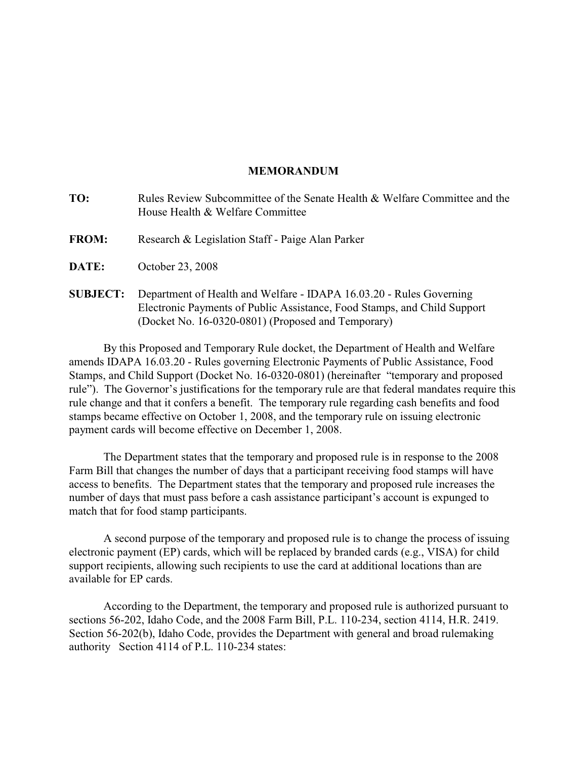#### **MEMORANDUM**

| TO:             | Rules Review Subcommittee of the Senate Health & Welfare Committee and the<br>House Health & Welfare Committee                                                                                        |
|-----------------|-------------------------------------------------------------------------------------------------------------------------------------------------------------------------------------------------------|
| <b>FROM:</b>    | Research & Legislation Staff - Paige Alan Parker                                                                                                                                                      |
| <b>DATE:</b>    | October 23, 2008                                                                                                                                                                                      |
| <b>SUBJECT:</b> | Department of Health and Welfare - IDAPA 16.03.20 - Rules Governing<br>Electronic Payments of Public Assistance, Food Stamps, and Child Support<br>(Docket No. 16-0320-0801) (Proposed and Temporary) |

By this Proposed and Temporary Rule docket, the Department of Health and Welfare amends IDAPA 16.03.20 - Rules governing Electronic Payments of Public Assistance, Food Stamps, and Child Support (Docket No. 16-0320-0801) (hereinafter "temporary and proposed rule"). The Governor's justifications for the temporary rule are that federal mandates require this rule change and that it confers a benefit. The temporary rule regarding cash benefits and food stamps became effective on October 1, 2008, and the temporary rule on issuing electronic payment cards will become effective on December 1, 2008.

The Department states that the temporary and proposed rule is in response to the 2008 Farm Bill that changes the number of days that a participant receiving food stamps will have access to benefits. The Department states that the temporary and proposed rule increases the number of days that must pass before a cash assistance participant's account is expunged to match that for food stamp participants.

A second purpose of the temporary and proposed rule is to change the process of issuing electronic payment (EP) cards, which will be replaced by branded cards (e.g., VISA) for child support recipients, allowing such recipients to use the card at additional locations than are available for EP cards.

According to the Department, the temporary and proposed rule is authorized pursuant to sections 56-202, Idaho Code, and the 2008 Farm Bill, P.L. 110-234, section 4114, H.R. 2419. Section 56-202(b), Idaho Code, provides the Department with general and broad rulemaking authority Section 4114 of P.L. 110-234 states: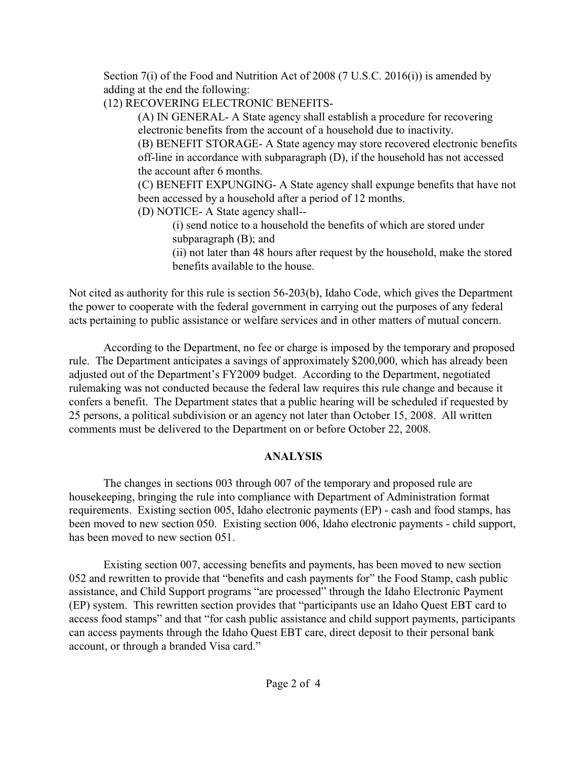Section 7(i) of the Food and Nutrition Act of 2008 (7 U.S.C. 2016(i)) is amended by adding at the end the following:

(12) RECOVERING ELECTRONIC BENEFITS-

(A) IN GENERAL- A State agency shall establish a procedure for recovering electronic benefits from the account of a household due to inactivity.

(B) BENEFIT STORAGE- A State agency may store recovered electronic benefits off-line in accordance with subparagraph (D), if the household has not accessed the account after 6 months.

(C) BENEFIT EXPUNGING- A State agency shall expunge benefits that have not been accessed by a household after a period of 12 months.

(D) NOTICE- A State agency shall--

(i) send notice to a household the benefits of which are stored under subparagraph (B); and

(ii) not later than 48 hours after request by the household, make the stored benefits available to the house.

Not cited as authority for this rule is section 56-203(b), Idaho Code, which gives the Department the power to cooperate with the federal government in carrying out the purposes of any federal acts pertaining to public assistance or welfare services and in other matters of mutual concern.

According to the Department, no fee or charge is imposed by the temporary and proposed rule. The Department anticipates a savings of approximately \$200,000, which has already been adjusted out of the Department's FY2009 budget. According to the Department, negotiated rulemaking was not conducted because the federal law requires this rule change and because it confers a benefit. The Department states that a public hearing will be scheduled if requested by 25 persons, a political subdivision or an agency not later than October 15, 2008. All written comments must be delivered to the Department on or before October 22, 2008.

# **ANALYSIS**

The changes in sections 003 through 007 of the temporary and proposed rule are housekeeping, bringing the rule into compliance with Department of Administration format requirements. Existing section 005, Idaho electronic payments (EP) - cash and food stamps, has been moved to new section 050. Existing section 006, Idaho electronic payments - child support, has been moved to new section 051.

Existing section 007, accessing benefits and payments, has been moved to new section 052 and rewritten to provide that "benefits and cash payments for" the Food Stamp, cash public assistance, and Child Support programs "are processed" through the Idaho Electronic Payment (EP) system. This rewritten section provides that "participants use an Idaho Quest EBT card to access food stamps" and that "for cash public assistance and child support payments, participants can access payments through the Idaho Quest EBT care, direct deposit to their personal bank account, or through a branded Visa card."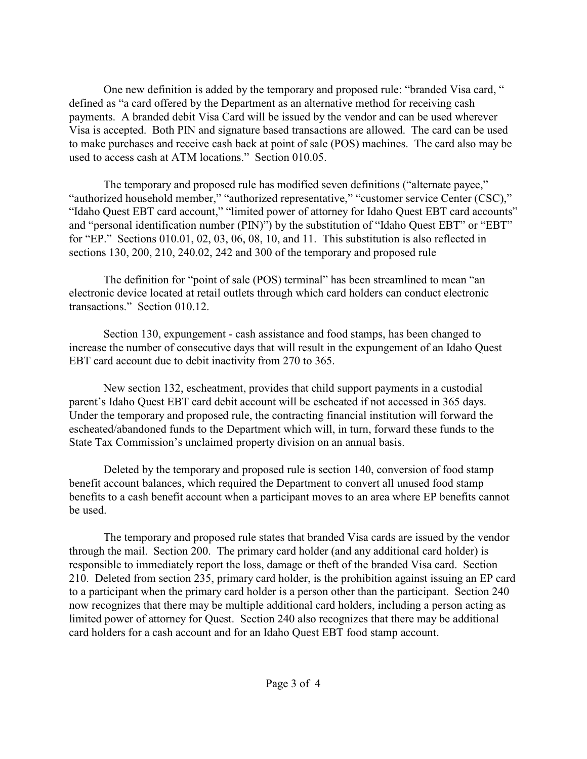One new definition is added by the temporary and proposed rule: "branded Visa card, " defined as "a card offered by the Department as an alternative method for receiving cash payments. A branded debit Visa Card will be issued by the vendor and can be used wherever Visa is accepted. Both PIN and signature based transactions are allowed. The card can be used to make purchases and receive cash back at point of sale (POS) machines. The card also may be used to access cash at ATM locations." Section 010.05.

The temporary and proposed rule has modified seven definitions ("alternate payee," "authorized household member," "authorized representative," "customer service Center (CSC)," "Idaho Quest EBT card account," "limited power of attorney for Idaho Quest EBT card accounts" and "personal identification number (PIN)") by the substitution of "Idaho Quest EBT" or "EBT" for "EP." Sections 010.01, 02, 03, 06, 08, 10, and 11. This substitution is also reflected in sections 130, 200, 210, 240.02, 242 and 300 of the temporary and proposed rule

The definition for "point of sale (POS) terminal" has been streamlined to mean "an electronic device located at retail outlets through which card holders can conduct electronic transactions." Section 010.12.

Section 130, expungement - cash assistance and food stamps, has been changed to increase the number of consecutive days that will result in the expungement of an Idaho Quest EBT card account due to debit inactivity from 270 to 365.

New section 132, escheatment, provides that child support payments in a custodial parent's Idaho Quest EBT card debit account will be escheated if not accessed in 365 days. Under the temporary and proposed rule, the contracting financial institution will forward the escheated/abandoned funds to the Department which will, in turn, forward these funds to the State Tax Commission's unclaimed property division on an annual basis.

Deleted by the temporary and proposed rule is section 140, conversion of food stamp benefit account balances, which required the Department to convert all unused food stamp benefits to a cash benefit account when a participant moves to an area where EP benefits cannot be used.

The temporary and proposed rule states that branded Visa cards are issued by the vendor through the mail. Section 200. The primary card holder (and any additional card holder) is responsible to immediately report the loss, damage or theft of the branded Visa card. Section 210. Deleted from section 235, primary card holder, is the prohibition against issuing an EP card to a participant when the primary card holder is a person other than the participant. Section 240 now recognizes that there may be multiple additional card holders, including a person acting as limited power of attorney for Quest. Section 240 also recognizes that there may be additional card holders for a cash account and for an Idaho Quest EBT food stamp account.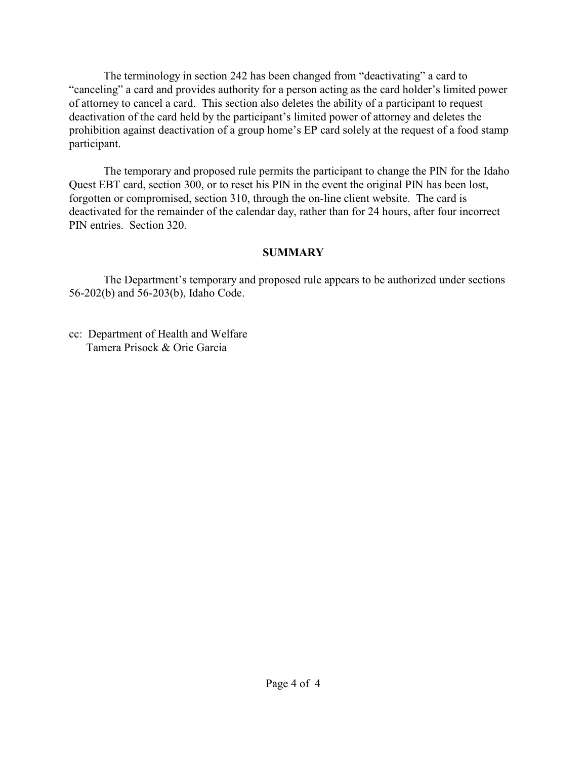The terminology in section 242 has been changed from "deactivating" a card to "canceling" a card and provides authority for a person acting as the card holder's limited power of attorney to cancel a card. This section also deletes the ability of a participant to request deactivation of the card held by the participant's limited power of attorney and deletes the prohibition against deactivation of a group home's EP card solely at the request of a food stamp participant.

The temporary and proposed rule permits the participant to change the PIN for the Idaho Quest EBT card, section 300, or to reset his PIN in the event the original PIN has been lost, forgotten or compromised, section 310, through the on-line client website. The card is deactivated for the remainder of the calendar day, rather than for 24 hours, after four incorrect PIN entries. Section 320.

## **SUMMARY**

The Department's temporary and proposed rule appears to be authorized under sections 56-202(b) and 56-203(b), Idaho Code.

cc: Department of Health and Welfare Tamera Prisock & Orie Garcia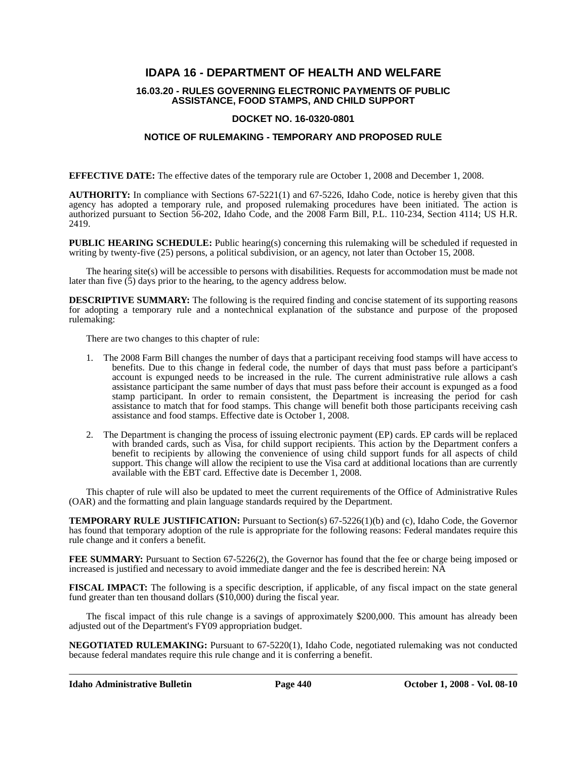### **IDAPA 16 - DEPARTMENT OF HEALTH AND WELFARE**

#### **16.03.20 - RULES GOVERNING ELECTRONIC PAYMENTS OF PUBLIC ASSISTANCE, FOOD STAMPS, AND CHILD SUPPORT**

#### **DOCKET NO. 16-0320-0801**

#### **NOTICE OF RULEMAKING - TEMPORARY AND PROPOSED RULE**

**EFFECTIVE DATE:** The effective dates of the temporary rule are October 1, 2008 and December 1, 2008.

**AUTHORITY:** In compliance with Sections 67-5221(1) and 67-5226, Idaho Code, notice is hereby given that this agency has adopted a temporary rule, and proposed rulemaking procedures have been initiated. The action is authorized pursuant to Section 56-202, Idaho Code, and the 2008 Farm Bill, P.L. 110-234, Section 4114; US H.R. 2419.

**PUBLIC HEARING SCHEDULE:** Public hearing(s) concerning this rulemaking will be scheduled if requested in writing by twenty-five (25) persons, a political subdivision, or an agency, not later than October 15, 2008.

The hearing site(s) will be accessible to persons with disabilities. Requests for accommodation must be made not later than five (5) days prior to the hearing, to the agency address below.

**DESCRIPTIVE SUMMARY:** The following is the required finding and concise statement of its supporting reasons for adopting a temporary rule and a nontechnical explanation of the substance and purpose of the proposed rulemaking:

There are two changes to this chapter of rule:

- 1. The 2008 Farm Bill changes the number of days that a participant receiving food stamps will have access to benefits. Due to this change in federal code, the number of days that must pass before a participant's account is expunged needs to be increased in the rule. The current administrative rule allows a cash assistance participant the same number of days that must pass before their account is expunged as a food stamp participant. In order to remain consistent, the Department is increasing the period for cash assistance to match that for food stamps. This change will benefit both those participants receiving cash assistance and food stamps. Effective date is October 1, 2008.
- 2. The Department is changing the process of issuing electronic payment (EP) cards. EP cards will be replaced with branded cards, such as Visa, for child support recipients. This action by the Department confers a benefit to recipients by allowing the convenience of using child support funds for all aspects of child support. This change will allow the recipient to use the Visa card at additional locations than are currently available with the EBT card. Effective date is December 1, 2008.

This chapter of rule will also be updated to meet the current requirements of the Office of Administrative Rules (OAR) and the formatting and plain language standards required by the Department.

**TEMPORARY RULE JUSTIFICATION:** Pursuant to Section(s) 67-5226(1)(b) and (c), Idaho Code, the Governor has found that temporary adoption of the rule is appropriate for the following reasons: Federal mandates require this rule change and it confers a benefit.

**FEE SUMMARY:** Pursuant to Section 67-5226(2), the Governor has found that the fee or charge being imposed or increased is justified and necessary to avoid immediate danger and the fee is described herein: NA

**FISCAL IMPACT:** The following is a specific description, if applicable, of any fiscal impact on the state general fund greater than ten thousand dollars (\$10,000) during the fiscal year.

The fiscal impact of this rule change is a savings of approximately \$200,000. This amount has already been adjusted out of the Department's FY09 appropriation budget.

**NEGOTIATED RULEMAKING:** Pursuant to 67-5220(1), Idaho Code, negotiated rulemaking was not conducted because federal mandates require this rule change and it is conferring a benefit.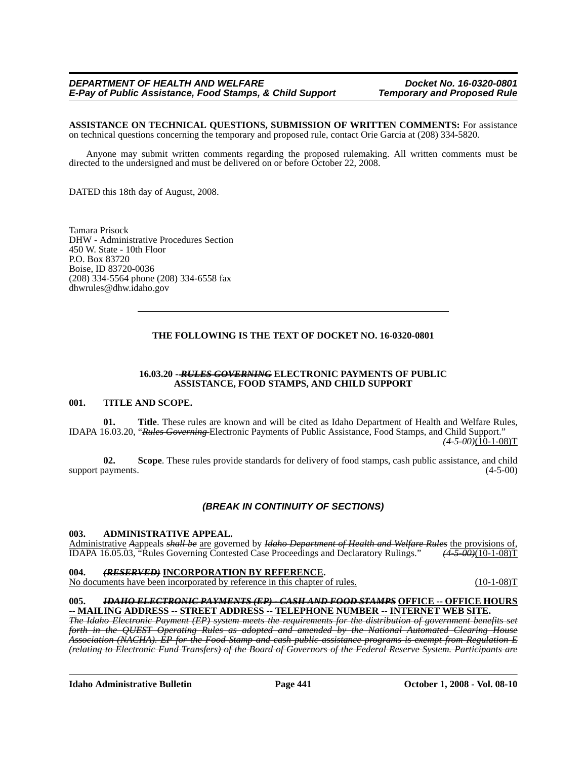**ASSISTANCE ON TECHNICAL QUESTIONS, SUBMISSION OF WRITTEN COMMENTS:** For assistance on technical questions concerning the temporary and proposed rule, contact Orie Garcia at (208) 334-5820*.*

Anyone may submit written comments regarding the proposed rulemaking. All written comments must be directed to the undersigned and must be delivered on or before October 22, 2008.

DATED this 18th day of August, 2008.

Tamara Prisock DHW - Administrative Procedures Section 450 W. State - 10th Floor P.O. Box 83720 Boise, ID 83720-0036 (208) 334-5564 phone (208) 334-6558 fax <dhwrules@dhw.idaho.gov>

#### **THE FOLLOWING IS THE TEXT OF DOCKET NO. 16-0320-0801**

#### **16.03.20 -** *RULES GOVERNING* **ELECTRONIC PAYMENTS OF PUBLIC ASSISTANCE, FOOD STAMPS, AND CHILD SUPPORT**

#### **001. TITLE AND SCOPE.**

**01. Title**. These rules are known and will be cited as Idaho Department of Health and Welfare Rules, IDAPA 16.03.20, "*Rules Governing* Electronic Payments of Public Assistance, Food Stamps, and Child Support."  $(4-5-00)(10-1-08)$ T

**02. Scope**. These rules provide standards for delivery of food stamps, cash public assistance, and child support payments.  $(4-5-00)$ 

#### *(BREAK IN CONTINUITY OF SECTIONS)*

#### **003. ADMINISTRATIVE APPEAL.**

Administrative *A*appeals *shall be* are governed by *Idaho Department of Health and Welfare Rules* the provisions of, IDAPA 16.05.03, "Rules Governing Contested Case Proceedings and Declaratory Rulings." *(4-5-00)*(10-1-08)T

#### **004.** *(RESERVED)* **INCORPORATION BY REFERENCE.**

No documents have been incorporated by reference in this chapter of rules. (10-1-08)T

# **005.** *IDAHO ELECTRONIC PAYMENTS (EP) - CASH AND FOOD STAMPS* **OFFICE -- OFFICE HOURS**

The Idaho Electronic Payment (EP) system meets the requirements for the distribution of government benefits set *forth in the QUEST Operating Rules as adopted and amended by the National Automated Clearing House Association (NACHA). EP for the Food Stamp and cash public assistance programs is exempt from Regulation E (relating to Electronic Fund Transfers) of the Board of Governors of the Federal Reserve System. Participants are* 

**Idaho Administrative Bulletin Page 441 October 1, 2008 - Vol. 08-10**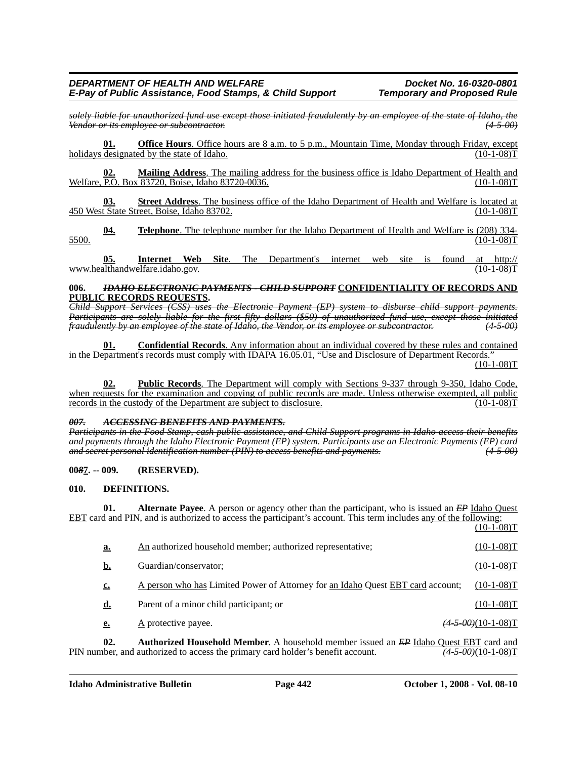*solely liable for unauthorized fund use except those initiated fraudulently by an employee of the state of Idaho, the Vendor or its employee or subcontractor. (4-5-00)*

**Office Hours**. Office hours are 8 a.m. to 5 p.m., Mountain Time, Monday through Friday, except holidays designated by the state of Idaho. (10-1-08)T

**02. Mailing Address**. The mailing address for the business office is Idaho Department of Health and Welfare, P.O. Box 83720, Boise, Idaho 83720-0036. (10-1-08) T

**03. Street Address**. The business office of the Idaho Department of Health and Welfare is located at 450 West State Street, Boise, Idaho 83702. (10-1-08)T

**04. Telephone**. The telephone number for the Idaho Department of Health and Welfare is (208) 334- 5500. (10-1-08)T

**05. Internet Web Site**[. The Department's internet web site is found at http://](http://www.healthandwelfare.idaho.gov) [www.healthandwelfare.idaho.gov.](http://www.healthandwelfare.idaho.gov)

#### **006.** *IDAHO ELECTRONIC PAYMENTS - CHILD SUPPORT* **CONFIDENTIALITY OF RECORDS AND PUBLIC RECORDS REQUESTS.**

*Child Support Services (CSS) uses the Electronic Payment (EP) system to disburse child support payments. Participants are solely liable for the first fifty dollars (\$50) of unauthorized fund use, except those initiated fraudulently by an employee of the state of Idaho, the Vendor, or its employee or subcontractor. (4-5-00)*

**01. Confidential Records**. Any information about an individual covered by these rules and contained in the Department's records must comply with IDAPA 16.05.01, "Use and Disclosure of Department Records."  $(10-1-08)T$ 

**02. Public Records**. The Department will comply with Sections 9-337 through 9-350, Idaho Code, when requests for the examination and copying of public records are made. Unless otherwise exempted, all public records in the custody of the Department are subject to disclosure. (10-1-08) records in the custody of the Department are subject to disclosure.

#### *007. ACCESSING BENEFITS AND PAYMENTS.*

*Participants in the Food Stamp, cash public assistance, and Child Support programs in Idaho access their benefits and payments through the Idaho Electronic Payment (EP) system. Participants use an Electronic Payments (EP) card and secret personal identification number (PIN) to access benefits and payments. (4-5-00)*

#### **00***8***7. -- 009. (RESERVED).**

#### **010. DEFINITIONS.**

**01.** Alternate Payee. A person or agency other than the participant, who is issued an *EP* Idaho Quest EBT card and PIN, and is authorized to access the participant's account. This term includes any of the following:  $(10-1-08)T$ 

| a.        | An authorized household member; authorized representative;                            | $(10-1-08)T$          |
|-----------|---------------------------------------------------------------------------------------|-----------------------|
| b.        | Guardian/conservator;                                                                 | $(10-1-08)T$          |
| <u>c.</u> | A person who has Limited Power of Attorney for an Idaho Quest EBT card account;       | $(10-1-08)T$          |
| d.        | Parent of a minor child participant; or                                               | $(10-1-08)T$          |
| <u>e.</u> | $\underline{A}$ protective payee.                                                     | $(4-5-00)(10-1-08)$ T |
| ΛΛ.       | And color of Hameledd Mamban A terrededd menden ianed ar ED Llabe. Orient EDT and and |                       |

**02. Authorized Household Member**. A household member issued an *EP* Idaho Quest EBT card and PIN number, and authorized to access the primary card holder's benefit account. *(4-5-00)*(10-1-08)T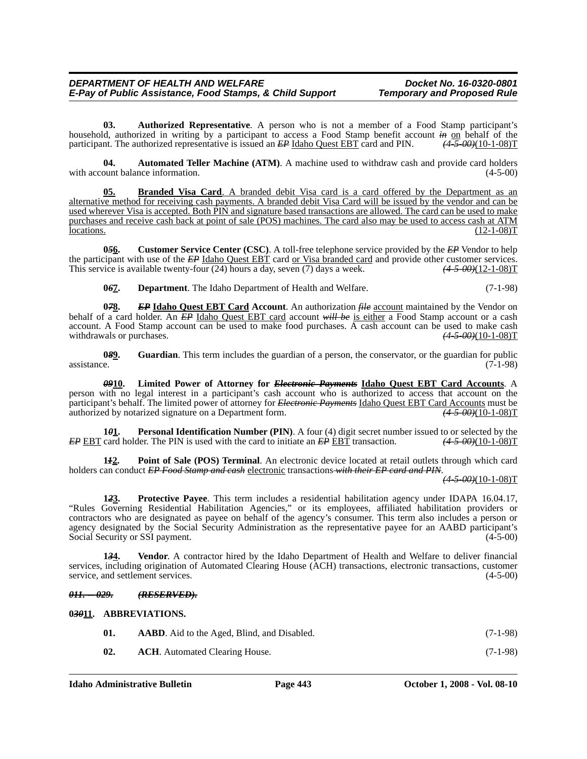**03. Authorized Representative**. A person who is not a member of a Food Stamp participant's household, authorized in writing by a participant to access a Food Stamp benefit account  $\frac{in}{10}$  on behalf of the participant. The authorized representative is issued an  $\frac{EP \text{Idaho Quest EBT}}{EBT}$  card and PIN.  $\frac{4.5-00+(10$ participant. The authorized representative is issued an *EP* Idaho Quest EBT card and PIN.

**04. Automated Teller Machine (ATM)**. A machine used to withdraw cash and provide card holders ount balance information. (4-5-00) with account balance information.

**05. Branded Visa Card**. A branded debit Visa card is a card offered by the Department as an alternative method for receiving cash payments. A branded debit Visa Card will be issued by the vendor and can be used wherever Visa is accepted. Both PIN and signature based transactions are allowed. The card can be used to make purchases and receive cash back at point of sale (POS) machines. The card also may be used to access cash at ATM locations. (12-1-08)T  $\frac{1}{2}$   $(12-1-08)$ T

**0***5***6. Customer Service Center (CSC)**. A toll-free telephone service provided by the *EP* Vendor to help the participant with use of the *EP* Idaho Quest EBT card or Visa branded card and provide other customer services.<br>This service is available twenty-four (24) hours a day, seven (7) days a week. (4.5.00)(12-1-08)T This service is available twenty-four (24) hours a day, seven (7) days a week.

**0***6***7. Department**. The Idaho Department of Health and Welfare. (7-1-98)

**078.** *EP* **Idaho Quest EBT Card Account**. An authorization *file* account maintained by the Vendor on behalf of a card holder. An *EP* Idaho Quest EBT card account *will be* is either a Food Stamp account or a cash account. A Food Stamp account can be used to make food purchases. A cash account can be used to make cash withdrawals or purchases.  $(4-5-00)(10-1-08)T$ 

**0***8***9. Guardian**. This term includes the guardian of a person, the conservator, or the guardian for public  $\alpha$  assistance. (7-1-98)

*09***10. Limited Power of Attorney for** *Electronic Payments* **Idaho Quest EBT Card Accounts**. A person with no legal interest in a participant's cash account who is authorized to access that account on the participant's behalf. The limited power of attorney for *Electronic Payments* Idaho Quest EBT Card Accounts must be authorized by notarized signature on a Department form. (4.5.00) (1-1-08) T authorized by notarized signature on a Department form.

**1***0***<sub>1</sub>.** Personal Identification Number (PIN). A four (4) digit secret number issued to or selected by the card holder. The PIN is used with the card to initiate an  $\frac{EP}{EBT}$  transaction.  $\frac{(4.5.00)(10-1.08)T}{(4.5.00)(10$ *EP* EBT card holder. The PIN is used with the card to initiate an *EP* EBT transaction.

**1***1***2. Point of Sale (POS) Terminal**. An electronic device located at retail outlets through which card holders can conduct *EP Food Stamp and cash* electronic transactions *with their EP card and PIN*.

*(4-5-00)*(10-1-08)T

**1***2***3. Protective Payee**. This term includes a residential habilitation agency under IDAPA 16.04.17, "Rules Governing Residential Habilitation Agencies," or its employees, affiliated habilitation providers or contractors who are designated as payee on behalf of the agency's consumer. This term also includes a person or agency designated by the Social Security Administration as the representative payee for an AABD participant's Social Security or SSI payment. (4-5-00)

**1***3***4. Vendor**. A contractor hired by the Idaho Department of Health and Welfare to deliver financial services, including origination of Automated Clearing House (ACH) transactions, electronic transactions, customer service, and settlement services. (4-5-00)

#### *011. -- 029. (RESERVED).*

**0***30***11. ABBREVIATIONS.**

| 01. | <b>AABD.</b> Aid to the Aged, Blind, and Disabled. | $(7-1-98)$ |
|-----|----------------------------------------------------|------------|
| 02. | <b>ACH.</b> Automated Clearing House.              | $(7-1-98)$ |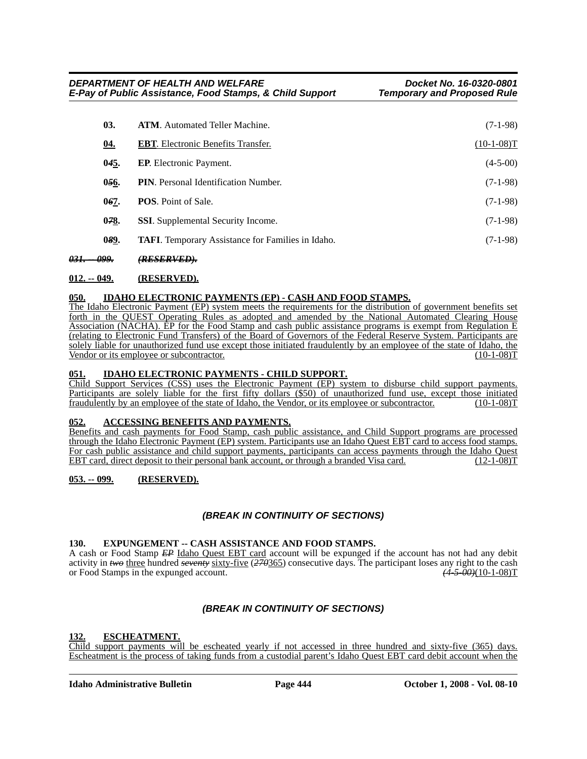| 03.        | <b>ATM.</b> Automated Teller Machine.                    | $(7-1-98)$   |
|------------|----------------------------------------------------------|--------------|
| <u>04.</u> | <b>EBT.</b> Electronic Benefits Transfer.                | $(10-1-08)T$ |
| 045.       | <b>EP.</b> Electronic Payment.                           | $(4-5-00)$   |
| 056.       | <b>PIN.</b> Personal Identification Number.              | $(7-1-98)$   |
| 067.       | <b>POS.</b> Point of Sale.                               | $(7-1-98)$   |
| 078.       | <b>SSI.</b> Supplemental Security Income.                | $(7-1-98)$   |
| 089.       | <b>TAFI.</b> Temporary Assistance for Families in Idaho. | $(7-1-98)$   |
|            |                                                          |              |

*031. -- 099. (RESERVED).*

#### **012. -- 049. (RESERVED).**

#### **050. IDAHO ELECTRONIC PAYMENTS (EP) - CASH AND FOOD STAMPS.**

The Idaho Electronic Payment (EP) system meets the requirements for the distribution of government benefits set forth in the QUEST Operating Rules as adopted and amended by the National Automated Clearing House Association (NACHA). EP for the Food Stamp and cash public assistance programs is exempt from Regulation E (relating to Electronic Fund Transfers) of the Board of Governors of the Federal Reserve System. Participants are solely liable for unauthorized fund use except those initiated fraudulently by an employee of the state of Idaho, the Vendor or its employee or subcontractor. (10-1-08) Vendor or its employee or subcontractor.

#### **051. IDAHO ELECTRONIC PAYMENTS - CHILD SUPPORT.**

Child Support Services (CSS) uses the Electronic Payment (EP) system to disburse child support payments. Participants are solely liable for the first fifty dollars (\$50) of unauthorized fund use, except those initiated fraudulently by an employee of the state of Idaho, the Vendor, or its employee or subcontractor. (10-1-08) fraudulently by an employee of the state of Idaho, the Vendor, or its employee or subcontractor.

#### **052. ACCESSING BENEFITS AND PAYMENTS.**

Benefits and cash payments for Food Stamp, cash public assistance, and Child Support programs are processed through the Idaho Electronic Payment (EP) system. Participants use an Idaho Quest EBT card to access food stamps. For cash public assistance and child support payments, participants can access payments through the Idaho Quest EBT card, direct deposit to their personal bank account, or through a branded Visa card. (12-1-08) EBT card, direct deposit to their personal bank account, or through a branded Visa card.

#### **053. -- 099. (RESERVED).**

#### *(BREAK IN CONTINUITY OF SECTIONS)*

#### 130. EXPUNGEMENT -- CASH ASSISTANCE AND FOOD STAMPS.

A cash or Food Stamp *EP* Idaho Quest EBT card account will be expunged if the account has not had any debit activity in *two* three hundred *seventy* sixty-five (270365) consecutive days. The participant loses any right to the cash or Food Stamps in the expunged account. (4-5-00)(10-1-08)T or Food Stamps in the expunged account.

#### *(BREAK IN CONTINUITY OF SECTIONS)*

#### **132. ESCHEATMENT.**

Child support payments will be escheated yearly if not accessed in three hundred and sixty-five (365) days. Escheatment is the process of taking funds from a custodial parent's Idaho Quest EBT card debit account when the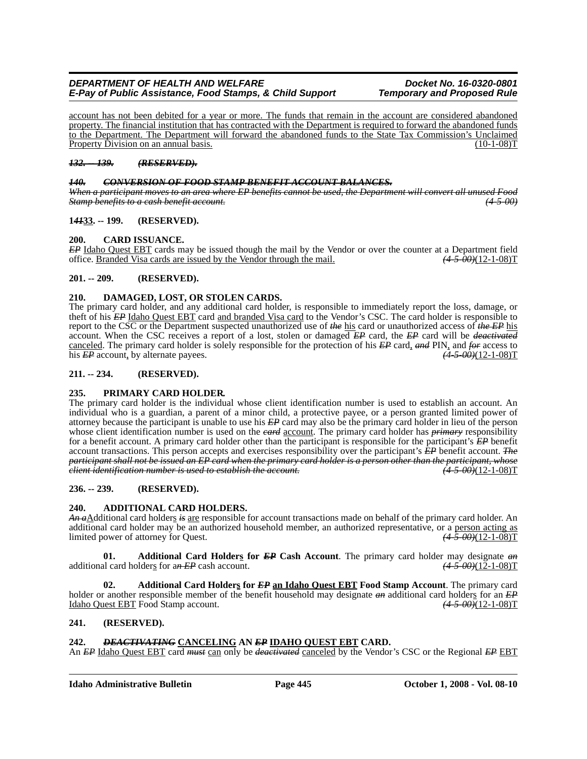account has not been debited for a year or more. The funds that remain in the account are considered abandoned property. The financial institution that has contracted with the Department is required to forward the abandoned funds to the Department. The Department will forward the abandoned funds to the State Tax Commission's Unclaimed Property Division on an annual basis. (10-1-08) T

#### *132. -- 139. (RESERVED).*

#### *140. CONVERSION OF FOOD STAMP BENEFIT ACCOUNT BALANCES.*

*When a participant moves to an area where EP benefits cannot be used, the Department will convert all unused Food Stamp benefits to a cash benefit account. (4-5-00)*

#### **1***41***33. -- 199. (RESERVED).**

#### **200. CARD ISSUANCE.**

*EP* Idaho Quest EBT cards may be issued though the mail by the Vendor or over the counter at a Department field office. Branded Visa cards are issued by the Vendor through the mail.  $(4-5-00)(12-1-08)T$ office. Branded Visa cards are issued by the Vendor through the mail.

#### **201. -- 209. (RESERVED).**

#### **210. DAMAGED, LOST, OR STOLEN CARDS.**

The primary card holder, and any additional card holder, is responsible to immediately report the loss, damage, or theft of his *EP* Idaho Quest EBT card and branded Visa card to the Vendor's CSC. The card holder is responsible to report to the CSC or the Department suspected unauthorized use of *the* his card or unauthorized access of *the EP* his account. When the CSC receives a report of a lost, stolen or damaged *EP* card, the *EP* card will be *deactivated* canceled. The primary card holder is solely responsible for the protection of his *EP* card, *and* PIN, and *for* access to his *EP* account, by alternate payees.

#### **211. -- 234. (RESERVED).**

#### **235. PRIMARY CARD HOLDER.**

The primary card holder is the individual whose client identification number is used to establish an account. An individual who is a guardian, a parent of a minor child, a protective payee, or a person granted limited power of attorney because the participant is unable to use his *EP* card may also be the primary card holder in lieu of the person whose client identification number is used on the *card* account. The primary card holder has *primary* responsibility for a benefit account. A primary card holder other than the participant is responsible for the participant's *EP* benefit account transactions. This person accepts and exercises responsibility over the participant's *EP* benefit account. *The participant shall not be issued an EP card when the primary card holder is a person other than the participant, whose client identification number is used to establish the account.* 

#### **236. -- 239. (RESERVED).**

#### **240. ADDITIONAL CARD HOLDERS.**

*An a*Additional card holders *is* are responsible for account transactions made on behalf of the primary card holder. An additional card holder may be an authorized household member, an authorized representative, or a person acting as limited power of attorney for Quest.  $\frac{(4-5-00)(12-1-08)T}{(4-5-00)(12-1-08)}$ limited power of attorney for Quest.

**01. Additional Card Holders for** *EP* **Cash Account**. The primary card holder may designate *an* additional card holders for a*n EP* cash account. *(4-5-00)*(12-1-08)T

Additional Card Holders for *EP* an Idaho Quest **EBT** Food Stamp Account. The primary card holder or another responsible member of the benefit household may designate  $\theta$  and additional card holders for an *EP* Idaho Quest EBT Food Stamp account. *(4-5-00)*(12-1-08)T

#### **241. (RESERVED).**

#### **242.** *DEACTIVATING* **CANCELING AN** *EP* **IDAHO QUEST EBT CARD.**

An *EP* Idaho Quest EBT card *must* can only be *deactivated* canceled by the Vendor's CSC or the Regional *EP* EBT